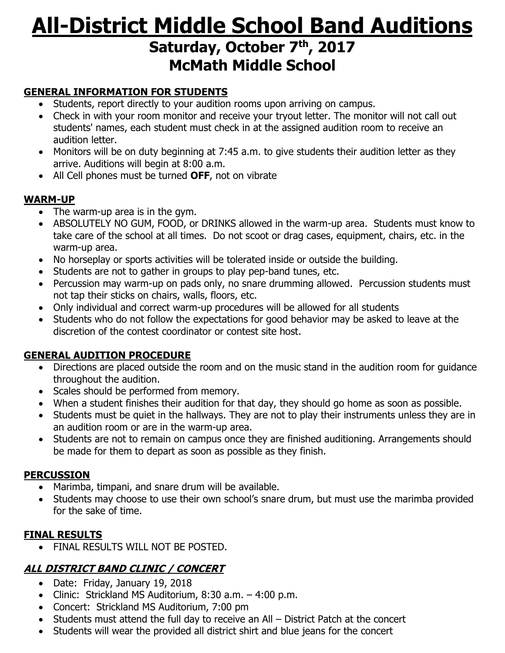# **All-District Middle School Band Auditions Saturday, October 7 th, 2017 McMath Middle School**

## **GENERAL INFORMATION FOR STUDENTS**

- Students, report directly to your audition rooms upon arriving on campus.
- Check in with your room monitor and receive your tryout letter. The monitor will not call out students' names, each student must check in at the assigned audition room to receive an audition letter.
- Monitors will be on duty beginning at 7:45 a.m. to give students their audition letter as they arrive. Auditions will begin at 8:00 a.m.
- All Cell phones must be turned **OFF**, not on vibrate

#### **WARM-UP**

- The warm-up area is in the gym.
- ABSOLUTELY NO GUM, FOOD, or DRINKS allowed in the warm-up area. Students must know to take care of the school at all times. Do not scoot or drag cases, equipment, chairs, etc. in the warm-up area.
- No horseplay or sports activities will be tolerated inside or outside the building.
- Students are not to gather in groups to play pep-band tunes, etc.
- Percussion may warm-up on pads only, no snare drumming allowed. Percussion students must not tap their sticks on chairs, walls, floors, etc.
- Only individual and correct warm-up procedures will be allowed for all students
- Students who do not follow the expectations for good behavior may be asked to leave at the discretion of the contest coordinator or contest site host.

## **GENERAL AUDITION PROCEDURE**

- Directions are placed outside the room and on the music stand in the audition room for guidance throughout the audition.
- Scales should be performed from memory.
- When a student finishes their audition for that day, they should go home as soon as possible.
- Students must be quiet in the hallways. They are not to play their instruments unless they are in an audition room or are in the warm-up area.
- Students are not to remain on campus once they are finished auditioning. Arrangements should be made for them to depart as soon as possible as they finish.

#### **PERCUSSION**

- Marimba, timpani, and snare drum will be available.
- Students may choose to use their own school's snare drum, but must use the marimba provided for the sake of time.

## **FINAL RESULTS**

• FINAL RESULTS WILL NOT BE POSTED.

# **ALL DISTRICT BAND CLINIC / CONCERT**

- Date: Friday, January 19, 2018
- Clinic: Strickland MS Auditorium, 8:30 a.m. 4:00 p.m.
- Concert: Strickland MS Auditorium, 7:00 pm
- Students must attend the full day to receive an All District Patch at the concert
- Students will wear the provided all district shirt and blue jeans for the concert